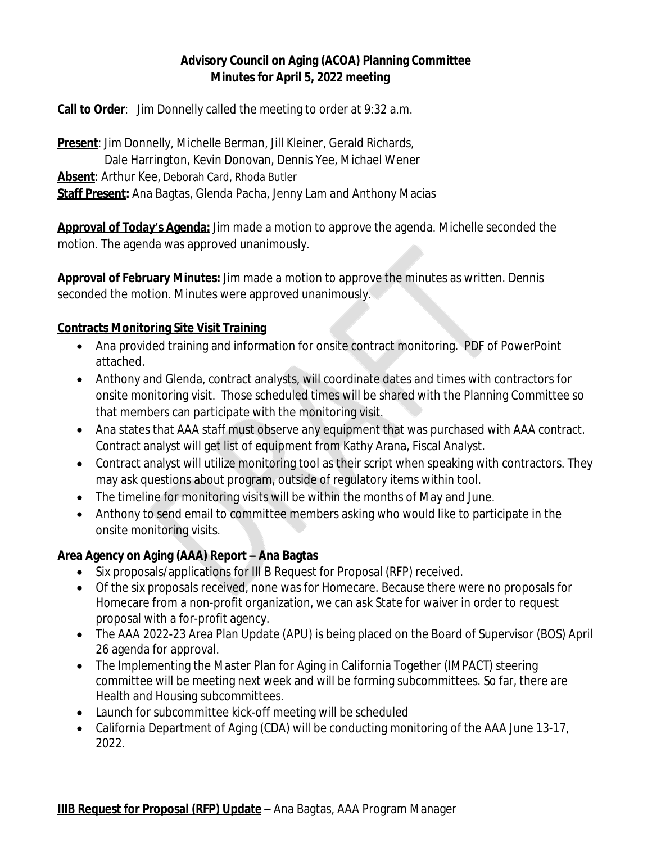# **Advisory Council on Aging (ACOA) Planning Committee Minutes for April 5, 2022 meeting**

**Call to Order**: Jim Donnelly called the meeting to order at 9:32 a.m.

**Present**: Jim Donnelly, Michelle Berman, Jill Kleiner, Gerald Richards, Dale Harrington, Kevin Donovan, Dennis Yee, Michael Wener **Absent**: Arthur Kee, Deborah Card, Rhoda Butler **Staff Present:** Ana Bagtas, Glenda Pacha, Jenny Lam and Anthony Macias

**Approval of Today's Agenda:** Jim made a motion to approve the agenda. Michelle seconded the motion. The agenda was approved unanimously.

**Approval of February Minutes:** Jim made a motion to approve the minutes as written. Dennis seconded the motion. Minutes were approved unanimously.

### **Contracts Monitoring Site Visit Training**

- Ana provided training and information for onsite contract monitoring. PDF of PowerPoint attached.
- Anthony and Glenda, contract analysts, will coordinate dates and times with contractors for onsite monitoring visit. Those scheduled times will be shared with the Planning Committee so that members can participate with the monitoring visit.
- Ana states that AAA staff must observe any equipment that was purchased with AAA contract. Contract analyst will get list of equipment from Kathy Arana, Fiscal Analyst.
- Contract analyst will utilize monitoring tool as their script when speaking with contractors. They may ask questions about program, outside of regulatory items within tool.
- The timeline for monitoring visits will be within the months of May and June.
- Anthony to send email to committee members asking who would like to participate in the onsite monitoring visits.

# **Area Agency on Aging (AAA) Report – Ana Bagtas**

- Six proposals/applications for III B Request for Proposal (RFP) received.
- Of the six proposals received, none was for Homecare. Because there were no proposals for Homecare from a non-profit organization, we can ask State for waiver in order to request proposal with a for-profit agency.
- The AAA 2022-23 Area Plan Update (APU) is being placed on the Board of Supervisor (BOS) April 26 agenda for approval.
- The Implementing the Master Plan for Aging in California Together (IMPACT) steering committee will be meeting next week and will be forming subcommittees. So far, there are Health and Housing subcommittees.
- Launch for subcommittee kick-off meeting will be scheduled
- California Department of Aging (CDA) will be conducting monitoring of the AAA June 13-17, 2022.